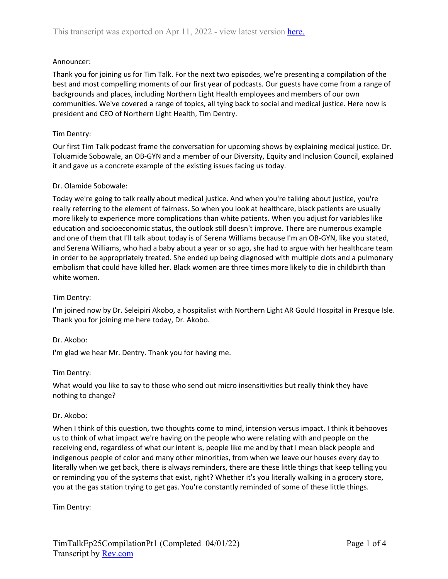### Announcer:

Thank you for joining us for Tim Talk. For the next two episodes, we're presenting a compilation of the best and most compelling moments of our first year of podcasts. Our guests have come from a range of backgrounds and places, including Northern Light Health employees and members of our own communities. We've covered a range of topics, all tying back to social and medical justice. Here now is president and CEO of Northern Light Health, Tim Dentry.

#### Tim Dentry:

Our first Tim Talk podcast frame the conversation for upcoming shows by explaining medical justice. Dr. Toluamide Sobowale, an OB-GYN and a member of our Diversity, Equity and Inclusion Council, explained it and gave us a concrete example of the existing issues facing us today.

### Dr. Olamide Sobowale:

Today we're going to talk really about medical justice. And when you're talking about justice, you're really referring to the element of fairness. So when you look at healthcare, black patients are usually more likely to experience more complications than white patients. When you adjust for variables like education and socioeconomic status, the outlook still doesn't improve. There are numerous example and one of them that I'll talk about today is of Serena Williams because I'm an OB-GYN, like you stated, and Serena Williams, who had a baby about a year or so ago, she had to argue with her healthcare team in order to be appropriately treated. She ended up being diagnosed with multiple clots and a pulmonary embolism that could have killed her. Black women are three times more likely to die in childbirth than white women.

# Tim Dentry:

I'm joined now by Dr. Seleipiri Akobo, a hospitalist with Northern Light AR Gould Hospital in Presque Isle. Thank you for joining me here today, Dr. Akobo.

#### Dr. Akobo:

I'm glad we hear Mr. Dentry. Thank you for having me.

#### Tim Dentry:

What would you like to say to those who send out micro insensitivities but really think they have nothing to change?

#### Dr. Akobo:

When I think of this question, two thoughts come to mind, intension versus impact. I think it behooves us to think of what impact we're having on the people who were relating with and people on the receiving end, regardless of what our intent is, people like me and by that I mean black people and indigenous people of color and many other minorities, from when we leave our houses every day to literally when we get back, there is always reminders, there are these little things that keep telling you or reminding you of the systems that exist, right? Whether it's you literally walking in a grocery store, you at the gas station trying to get gas. You're constantly reminded of some of these little things.

Tim Dentry: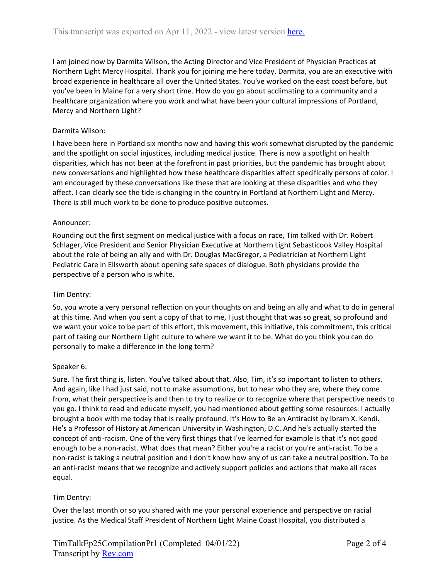I am joined now by Darmita Wilson, the Acting Director and Vice President of Physician Practices at Northern Light Mercy Hospital. Thank you for joining me here today. Darmita, you are an executive with broad experience in healthcare all over the United States. You've worked on the east coast before, but you've been in Maine for a very short time. How do you go about acclimating to a community and a healthcare organization where you work and what have been your cultural impressions of Portland, Mercy and Northern Light?

# Darmita Wilson:

I have been here in Portland six months now and having this work somewhat disrupted by the pandemic and the spotlight on social injustices, including medical justice. There is now a spotlight on health disparities, which has not been at the forefront in past priorities, but the pandemic has brought about new conversations and highlighted how these healthcare disparities affect specifically persons of color. I am encouraged by these conversations like these that are looking at these disparities and who they affect. I can clearly see the tide is changing in the country in Portland at Northern Light and Mercy. There is still much work to be done to produce positive outcomes.

# Announcer:

Rounding out the first segment on medical justice with a focus on race, Tim talked with Dr. Robert Schlager, Vice President and Senior Physician Executive at Northern Light Sebasticook Valley Hospital about the role of being an ally and with Dr. Douglas MacGregor, a Pediatrician at Northern Light Pediatric Care in Ellsworth about opening safe spaces of dialogue. Both physicians provide the perspective of a person who is white.

# Tim Dentry:

So, you wrote a very personal reflection on your thoughts on and being an ally and what to do in general at this time. And when you sent a copy of that to me, I just thought that was so great, so profound and we want your voice to be part of this effort, this movement, this initiative, this commitment, this critical part of taking our Northern Light culture to where we want it to be. What do you think you can do personally to make a difference in the long term?

# Speaker 6:

Sure. The first thing is, listen. You've talked about that. Also, Tim, it's so important to listen to others. And again, like I had just said, not to make assumptions, but to hear who they are, where they come from, what their perspective is and then to try to realize or to recognize where that perspective needs to you go. I think to read and educate myself, you had mentioned about getting some resources. I actually brought a book with me today that is really profound. It's How to Be an Antiracist by Ibram X. Kendi. He's a Professor of History at American University in Washington, D.C. And he's actually started the concept of anti-racism. One of the very first things that I've learned for example is that it's not good enough to be a non-racist. What does that mean? Either you're a racist or you're anti-racist. To be a non-racist is taking a neutral position and I don't know how any of us can take a neutral position. To be an anti-racist means that we recognize and actively support policies and actions that make all races equal.

# Tim Dentry:

Over the last month or so you shared with me your personal experience and perspective on racial justice. As the Medical Staff President of Northern Light Maine Coast Hospital, you distributed a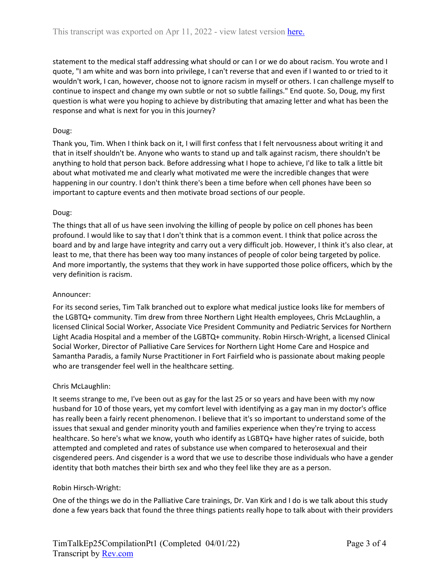statement to the medical staff addressing what should or can I or we do about racism. You wrote and I quote, "I am white and was born into privilege, I can't reverse that and even if I wanted to or tried to it wouldn't work, I can, however, choose not to ignore racism in myself or others. I can challenge myself to continue to inspect and change my own subtle or not so subtle failings." End quote. So, Doug, my first question is what were you hoping to achieve by distributing that amazing letter and what has been the response and what is next for you in this journey?

# Doug:

Thank you, Tim. When I think back on it, I will first confess that I felt nervousness about writing it and that in itself shouldn't be. Anyone who wants to stand up and talk against racism, there shouldn't be anything to hold that person back. Before addressing what I hope to achieve, I'd like to talk a little bit about what motivated me and clearly what motivated me were the incredible changes that were happening in our country. I don't think there's been a time before when cell phones have been so important to capture events and then motivate broad sections of our people.

# Doug:

The things that all of us have seen involving the killing of people by police on cell phones has been profound. I would like to say that I don't think that is a common event. I think that police across the board and by and large have integrity and carry out a very difficult job. However, I think it's also clear, at least to me, that there has been way too many instances of people of color being targeted by police. And more importantly, the systems that they work in have supported those police officers, which by the very definition is racism.

# Announcer:

For its second series, Tim Talk branched out to explore what medical justice looks like for members of the LGBTQ+ community. Tim drew from three Northern Light Health employees, Chris McLaughlin, a licensed Clinical Social Worker, Associate Vice President Community and Pediatric Services for Northern Light Acadia Hospital and a member of the LGBTQ+ community. Robin Hirsch-Wright, a licensed Clinical Social Worker, Director of Palliative Care Services for Northern Light Home Care and Hospice and Samantha Paradis, a family Nurse Practitioner in Fort Fairfield who is passionate about making people who are transgender feel well in the healthcare setting.

# Chris McLaughlin:

It seems strange to me, I've been out as gay for the last 25 or so years and have been with my now husband for 10 of those years, yet my comfort level with identifying as a gay man in my doctor's office has really been a fairly recent phenomenon. I believe that it's so important to understand some of the issues that sexual and gender minority youth and families experience when they're trying to access healthcare. So here's what we know, youth who identify as LGBTQ+ have higher rates of suicide, both attempted and completed and rates of substance use when compared to heterosexual and their cisgendered peers. And cisgender is a word that we use to describe those individuals who have a gender identity that both matches their birth sex and who they feel like they are as a person.

#### Robin Hirsch-Wright:

One of the things we do in the Palliative Care trainings, Dr. Van Kirk and I do is we talk about this study done a few years back that found the three things patients really hope to talk about with their providers